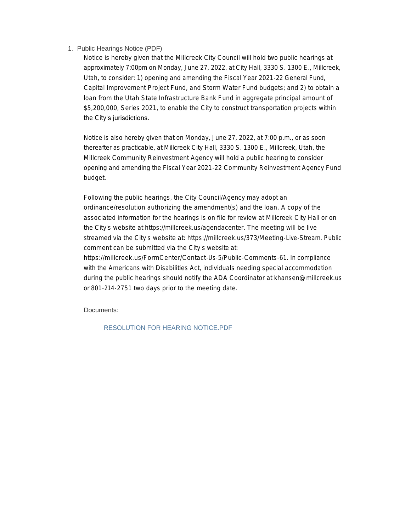#### 1. Public Hearings Notice (PDF)

Notice is hereby given that the Millcreek City Council will hold two public hearings at approximately 7:00pm on Monday, June 27, 2022, at City Hall, 3330 S. 1300 E., Millcreek, Utah, to consider: 1) opening and amending the Fiscal Year 2021-22 General Fund, Capital Improvement Project Fund, and Storm Water Fund budgets; and 2) to obtain a loan from the Utah State Infrastructure Bank Fund in aggregate principal amount of \$5,200,000, Series 2021, to enable the City to construct transportation projects within the City's jurisdictions.

Notice is also hereby given that on Monday, June 27, 2022, at 7:00 p.m., or as soon thereafter as practicable, at Millcreek City Hall, 3330 S. 1300 E., Millcreek, Utah, the Millcreek Community Reinvestment Agency will hold a public hearing to consider opening and amending the Fiscal Year 2021-22 Community Reinvestment Agency Fund budget.

Following the public hearings, the City Council/Agency may adopt an ordinance/resolution authorizing the amendment(s) and the loan. A copy of the associated information for the hearings is on file for review at Millcreek City Hall or on the City's website at https://millcreek.us/agendacenter. The meeting will be live streamed via the City's website at: https://millcreek.us/373/Meeting-Live-Stream. Public comment can be submitted via the City's website at:

https://millcreek.us/FormCenter/Contact-Us-5/Public-Comments-61. In compliance with the Americans with Disabilities Act, individuals needing special accommodation during the public hearings should notify the ADA Coordinator at khansen@millcreek.us or 801-214-2751 two days prior to the meeting date.

Documents:

RESOLUTION FOR HEARING NOTICE.PDF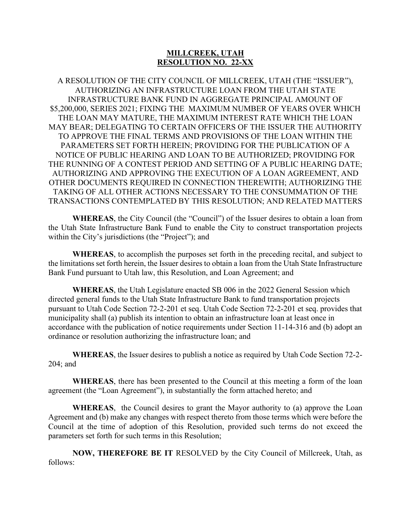# **MILLCREEK, UTAH RESOLUTION NO. 22-XX**

A RESOLUTION OF THE CITY COUNCIL OF MILLCREEK, UTAH (THE "ISSUER"), AUTHORIZING AN INFRASTRUCTURE LOAN FROM THE UTAH STATE INFRASTRUCTURE BANK FUND IN AGGREGATE PRINCIPAL AMOUNT OF \$5,200,000, SERIES 2021; FIXING THE MAXIMUM NUMBER OF YEARS OVER WHICH THE LOAN MAY MATURE, THE MAXIMUM INTEREST RATE WHICH THE LOAN MAY BEAR; DELEGATING TO CERTAIN OFFICERS OF THE ISSUER THE AUTHORITY TO APPROVE THE FINAL TERMS AND PROVISIONS OF THE LOAN WITHIN THE PARAMETERS SET FORTH HEREIN; PROVIDING FOR THE PUBLICATION OF A NOTICE OF PUBLIC HEARING AND LOAN TO BE AUTHORIZED; PROVIDING FOR THE RUNNING OF A CONTEST PERIOD AND SETTING OF A PUBLIC HEARING DATE; AUTHORIZING AND APPROVING THE EXECUTION OF A LOAN AGREEMENT, AND OTHER DOCUMENTS REQUIRED IN CONNECTION THEREWITH; AUTHORIZING THE TAKING OF ALL OTHER ACTIONS NECESSARY TO THE CONSUMMATION OF THE TRANSACTIONS CONTEMPLATED BY THIS RESOLUTION; AND RELATED MATTERS

**WHEREAS**, the City Council (the "Council") of the Issuer desires to obtain a loan from the Utah State Infrastructure Bank Fund to enable the City to construct transportation projects within the City's jurisdictions (the "Project"); and

**WHEREAS**, to accomplish the purposes set forth in the preceding recital, and subject to the limitations set forth herein, the Issuer desires to obtain a loan from the Utah State Infrastructure Bank Fund pursuant to Utah law, this Resolution, and Loan Agreement; and

**WHEREAS**, the Utah Legislature enacted SB 006 in the 2022 General Session which directed general funds to the Utah State Infrastructure Bank to fund transportation projects pursuant to Utah Code Section 72-2-201 et seq. Utah Code Section 72-2-201 et seq. provides that municipality shall (a) publish its intention to obtain an infrastructure loan at least once in accordance with the publication of notice requirements under Section 11-14-316 and (b) adopt an ordinance or resolution authorizing the infrastructure loan; and

**WHEREAS**, the Issuer desires to publish a notice as required by Utah Code Section 72-2- 204; and

**WHEREAS**, there has been presented to the Council at this meeting a form of the loan agreement (the "Loan Agreement"), in substantially the form attached hereto; and

**WHEREAS**, the Council desires to grant the Mayor authority to (a) approve the Loan Agreement and (b) make any changes with respect thereto from those terms which were before the Council at the time of adoption of this Resolution, provided such terms do not exceed the parameters set forth for such terms in this Resolution;

**NOW, THEREFORE BE IT** RESOLVED by the City Council of Millcreek, Utah, as follows: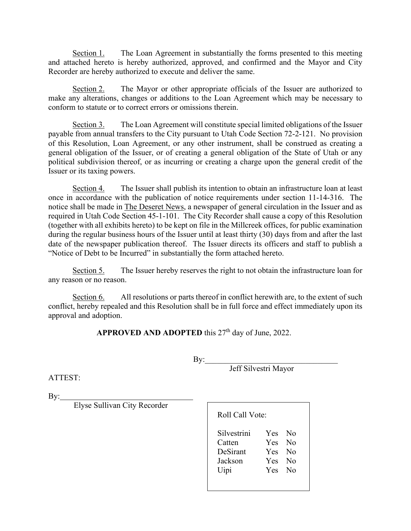Section 1. The Loan Agreement in substantially the forms presented to this meeting and attached hereto is hereby authorized, approved, and confirmed and the Mayor and City Recorder are hereby authorized to execute and deliver the same.

Section 2. The Mayor or other appropriate officials of the Issuer are authorized to make any alterations, changes or additions to the Loan Agreement which may be necessary to conform to statute or to correct errors or omissions therein.

Section 3. The Loan Agreement will constitute special limited obligations of the Issuer payable from annual transfers to the City pursuant to Utah Code Section 72-2-121. No provision of this Resolution, Loan Agreement, or any other instrument, shall be construed as creating a general obligation of the Issuer, or of creating a general obligation of the State of Utah or any political subdivision thereof, or as incurring or creating a charge upon the general credit of the Issuer or its taxing powers.

Section 4. The Issuer shall publish its intention to obtain an infrastructure loan at least once in accordance with the publication of notice requirements under section 11-14-316. The notice shall be made in The Deseret News, a newspaper of general circulation in the Issuer and as required in Utah Code Section 45-1-101. The City Recorder shall cause a copy of this Resolution (together with all exhibits hereto) to be kept on file in the Millcreek offices, for public examination during the regular business hours of the Issuer until at least thirty (30) days from and after the last date of the newspaper publication thereof. The Issuer directs its officers and staff to publish a "Notice of Debt to be Incurred" in substantially the form attached hereto.

Section 5. The Issuer hereby reserves the right to not obtain the infrastructure loan for any reason or no reason.

Section 6. All resolutions or parts thereof in conflict herewith are, to the extent of such conflict, hereby repealed and this Resolution shall be in full force and effect immediately upon its approval and adoption.

APPROVED AND ADOPTED this 27<sup>th</sup> day of June, 2022.

By:\_\_\_\_\_\_\_\_\_\_\_\_\_\_\_\_\_\_\_\_\_\_\_\_\_\_\_\_\_\_\_\_\_

Jeff Silvestri Mayor

ATTEST:

By:

Elyse Sullivan City Recorder

| Liyse Builly all City Recorder |                                                      | Roll Call Vote:                                |  |  |
|--------------------------------|------------------------------------------------------|------------------------------------------------|--|--|
|                                | Silvestrini<br>Catten<br>DeSirant<br>Jackson<br>Uipi | Yes No<br>Yes No<br>Yes No<br>Yes No<br>Yes No |  |  |
|                                |                                                      |                                                |  |  |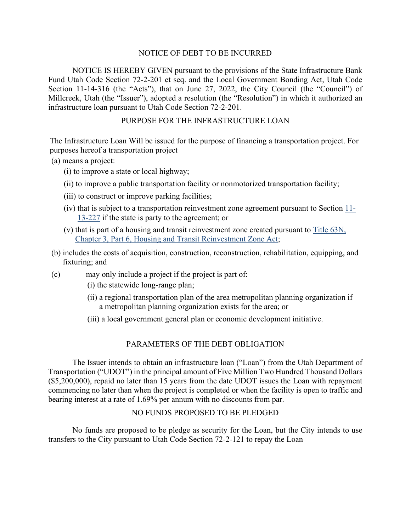### NOTICE OF DEBT TO BE INCURRED

NOTICE IS HEREBY GIVEN pursuant to the provisions of the State Infrastructure Bank Fund Utah Code Section 72-2-201 et seq. and the Local Government Bonding Act, Utah Code Section 11-14-316 (the "Acts"), that on June 27, 2022, the City Council (the "Council") of Millcreek, Utah (the "Issuer"), adopted a resolution (the "Resolution") in which it authorized an infrastructure loan pursuant to Utah Code Section 72-2-201.

## PURPOSE FOR THE INFRASTRUCTURE LOAN

The Infrastructure Loan Will be issued for the purpose of financing a transportation project. For purposes hereof a transportation project

(a) means a project:

- (i) to improve a state or local highway;
- (ii) to improve a public transportation facility or nonmotorized transportation facility;
- (iii) to construct or improve parking facilities;
- (iv) that is subject to a transportation reinvestment zone agreement pursuant to Section [11-](https://le.utah.gov/xcode/Title11/Chapter13/11-13-S227.html?v=C11-13-S227_2019051420190514) [13-227](https://le.utah.gov/xcode/Title11/Chapter13/11-13-S227.html?v=C11-13-S227_2019051420190514) if the state is party to the agreement; or
- (v) that is part of a housing and transit reinvestment zone created pursuant to [Title 63N,](https://le.utah.gov/xcode/Title63N/Chapter3/63N-3-P6.html?v=C63N-3-P6_2021050520210505)  [Chapter 3, Part 6, Housing and Transit Reinvestment Zone Act;](https://le.utah.gov/xcode/Title63N/Chapter3/63N-3-P6.html?v=C63N-3-P6_2021050520210505)
- (b) includes the costs of acquisition, construction, reconstruction, rehabilitation, equipping, and fixturing; and
- (c) may only include a project if the project is part of:
	- (i) the statewide long-range plan;
	- (ii) a regional transportation plan of the area metropolitan planning organization if a metropolitan planning organization exists for the area; or
	- (iii) a local government general plan or economic development initiative.

# PARAMETERS OF THE DEBT OBLIGATION

The Issuer intends to obtain an infrastructure loan ("Loan") from the Utah Department of Transportation ("UDOT") in the principal amount of Five Million Two Hundred Thousand Dollars (\$5,200,000), repaid no later than 15 years from the date UDOT issues the Loan with repayment commencing no later than when the project is completed or when the facility is open to traffic and bearing interest at a rate of 1.69% per annum with no discounts from par.

# NO FUNDS PROPOSED TO BE PLEDGED

No funds are proposed to be pledge as security for the Loan, but the City intends to use transfers to the City pursuant to Utah Code Section 72-2-121 to repay the Loan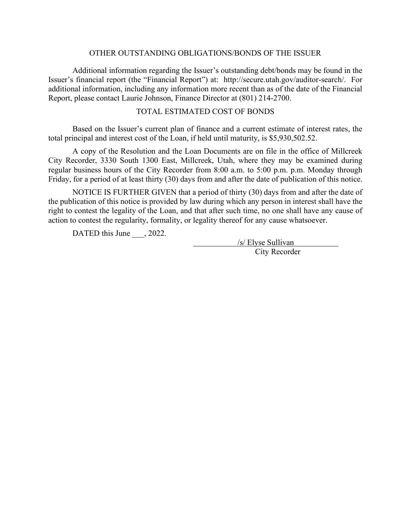### OTHER OUTSTANDING OBLIGATIONS/BONDS OF THE ISSUER

Additional information regarding the Issuer's outstanding debt/bonds may be found in the Issuer's financial report (the "Financial Report") at: [http://secure.utah.gov/auditor-search/.](http://secure.utah.gov/auditor-search/) For additional information, including any information more recent than as of the date of the Financial Report, please contact Laurie Johnson, Finance Director at (801) 214-2700.

# TOTAL ESTIMATED COST OF BONDS

Based on the Issuer's current plan of finance and a current estimate of interest rates, the total principal and interest cost of the Loan, if held until maturity, is \$5,930,502.52.

A copy of the Resolution and the Loan Documents are on file in the office of Millcreek City Recorder, 3330 South 1300 East, Millcreek, Utah, where they may be examined during regular business hours of the City Recorder from 8:00 a.m. to 5:00 p.m. p.m. Monday through Friday, for a period of at least thirty (30) days from and after the date of publication of this notice.

NOTICE IS FURTHER GIVEN that a period of thirty (30) days from and after the date of the publication of this notice is provided by law during which any person in interest shall have the right to contest the legality of the Loan, and that after such time, no one shall have any cause of action to contest the regularity, formality, or legality thereof for any cause whatsoever.

DATED this June , 2022.

/s/ Elyse Sullivan City Recorder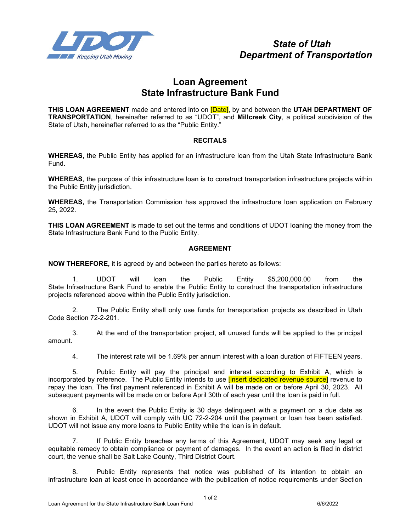

# **Loan Agreement State Infrastructure Bank Fund**

**THIS LOAN AGREEMENT** made and entered into on [Date], by and between the **UTAH DEPARTMENT OF TRANSPORTATION**, hereinafter referred to as "UDOT", and **Millcreek City**, a political subdivision of the State of Utah, hereinafter referred to as the "Public Entity."

#### **RECITALS**

**WHEREAS,** the Public Entity has applied for an infrastructure loan from the Utah State Infrastructure Bank Fund.

**WHEREAS**, the purpose of this infrastructure loan is to construct transportation infrastructure projects within the Public Entity jurisdiction.

**WHEREAS,** the Transportation Commission has approved the infrastructure loan application on February 25, 2022.

**THIS LOAN AGREEMENT** is made to set out the terms and conditions of UDOT loaning the money from the State Infrastructure Bank Fund to the Public Entity.

#### **AGREEMENT**

**NOW THEREFORE,** it is agreed by and between the parties hereto as follows:

1. UDOT will loan the Public Entity \$5,200,000.00 from the State Infrastructure Bank Fund to enable the Public Entity to construct the transportation infrastructure projects referenced above within the Public Entity jurisdiction.

2. The Public Entity shall only use funds for transportation projects as described in Utah Code Section 72-2-201.

3. At the end of the transportation project, all unused funds will be applied to the principal amount.

4. The interest rate will be 1.69% per annum interest with a loan duration of FIFTEEN years.

5. Public Entity will pay the principal and interest according to Exhibit A, which is incorporated by reference. The Public Entity intends to use *[insert dedicated revenue source]* revenue to repay the loan. The first payment referenced in Exhibit A will be made on or before April 30, 2023. All subsequent payments will be made on or before April 30th of each year until the loan is paid in full.

6. In the event the Public Entity is 30 days delinquent with a payment on a due date as shown in Exhibit A, UDOT will comply with UC 72-2-204 until the payment or loan has been satisfied. UDOT will not issue any more loans to Public Entity while the loan is in default.

7. If Public Entity breaches any terms of this Agreement, UDOT may seek any legal or equitable remedy to obtain compliance or payment of damages. In the event an action is filed in district court, the venue shall be Salt Lake County, Third District Court.

8. Public Entity represents that notice was published of its intention to obtain an infrastructure loan at least once in accordance with the publication of notice requirements under Section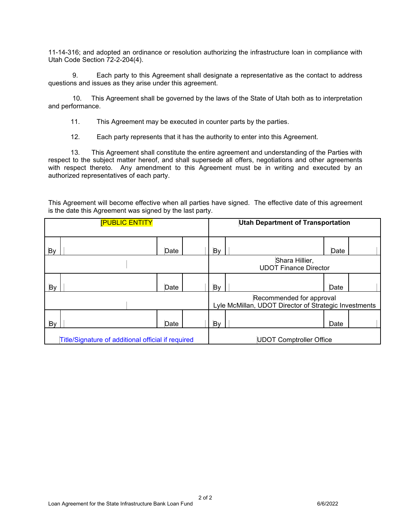11-14-316; and adopted an ordinance or resolution authorizing the infrastructure loan in compliance with Utah Code Section 72-2-204(4).

9. Each party to this Agreement shall designate a representative as the contact to address questions and issues as they arise under this agreement.

10. This Agreement shall be governed by the laws of the State of Utah both as to interpretation and performance.

11. This Agreement may be executed in counter parts by the parties.

12. Each party represents that it has the authority to enter into this Agreement.

 13. This Agreement shall constitute the entire agreement and understanding of the Parties with respect to the subject matter hereof, and shall supersede all offers, negotiations and other agreements with respect thereto. Any amendment to this Agreement must be in writing and executed by an authorized representatives of each party.

This Agreement will become effective when all parties have signed. The effective date of this agreement is the date this Agreement was signed by the last party.

| <b>PUBLIC ENTITY</b>                               |  |      | <b>Utah Department of Transportation</b> |                                                                                   |  |      |  |
|----------------------------------------------------|--|------|------------------------------------------|-----------------------------------------------------------------------------------|--|------|--|
| <b>By</b>                                          |  | Date |                                          | By                                                                                |  | Date |  |
|                                                    |  |      |                                          | Shara Hillier,<br><b>UDOT Finance Director</b>                                    |  |      |  |
| By                                                 |  | Date |                                          | By                                                                                |  | Date |  |
|                                                    |  |      |                                          | Recommended for approval<br>Lyle McMillan, UDOT Director of Strategic Investments |  |      |  |
| By                                                 |  | Date |                                          | By                                                                                |  | Date |  |
| Title/Signature of additional official if required |  |      | <b>UDOT Comptroller Office</b>           |                                                                                   |  |      |  |

2 of 2